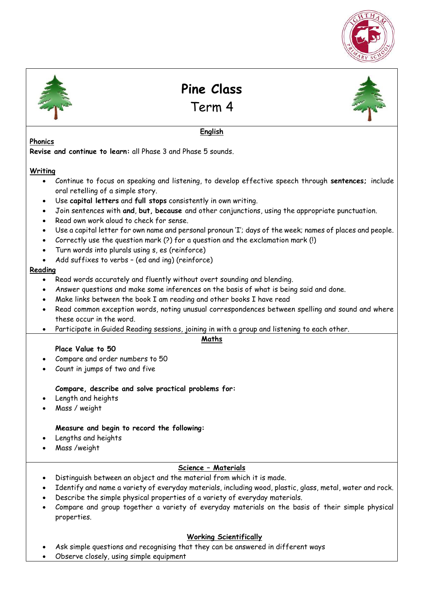



**Pine Class** 

Term 4



# **English**

### **Phonics**

**Revise and continue to learn:** all Phase 3 and Phase 5 sounds.

## **Writing**

- Continue to focus on speaking and listening, to develop effective speech through **sentences;** include oral retelling of a simple story.
- Use **capital letters** and **full stops** consistently in own writing.
- Join sentences with **and**, **but, because** and other conjunctions, using the appropriate punctuation.
- Read own work aloud to check for sense.
- Use a capital letter for own name and personal pronoun 'I'; days of the week; names of places and people.
- Correctly use the question mark (?) for a question and the exclamation mark (!)
- Turn words into plurals using s, es (reinforce)
- Add suffixes to verbs (ed and ing) (reinforce)

### **Reading**

- Read words accurately and fluently without overt sounding and blending.
- Answer questions and make some inferences on the basis of what is being said and done.
- Make links between the book I am reading and other books I have read
- Read common exception words, noting unusual correspondences between spelling and sound and where these occur in the word.
- Participate in Guided Reading sessions, joining in with a group and listening to each other.

### **Maths**

## **Place Value to 50**

- Compare and order numbers to 50
- Count in jumps of two and five

### **Compare, describe and solve practical problems for:**

- Length and heights
- Mass / weight

### **Measure and begin to record the following:**

- Lengths and heights
- Mass /weight

## **Science – Materials**

- Distinguish between an object and the material from which it is made.
- Identify and name a variety of everyday materials, including wood, plastic, glass, metal, water and rock.
- Describe the simple physical properties of a variety of everyday materials.
- Compare and group together a variety of everyday materials on the basis of their simple physical properties.

## **Working Scientifically**

- Ask simple questions and recognising that they can be answered in different ways
- Observe closely, using simple equipment